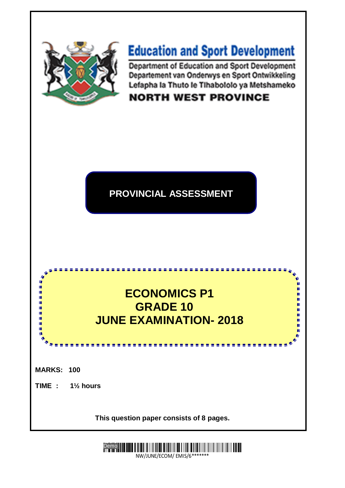

# **Education and Sport Development**

Department of Education and Sport Development Departement van Onderwys en Sport Ontwikkeling Lefapha la Thuto le Tihabololo ya Metshameko

**NORTH WEST PROVINCE** 

### **PROVINCIAL ASSESSMENT**

## **ECONOMICS P1 GRADE 10 JUNE EXAMINATION- 2018**

<u>.............</u>

n

ш Ù,

D,

ù,

ш

ù, m

ш

**MARKS: 100**

18

۱<mark>۱</mark><br>ا

庫

ı.

ı.

Ĩ.

IÙ, ıń,

**TIME : 1½ hours**

**TIME : 1:30 mins This question paper consists of 8 pages.**

> **Demo III 111 | 111 | 111 | 111 | 11** NW/JUNE/ECOM/ EMIS/6\*\*\*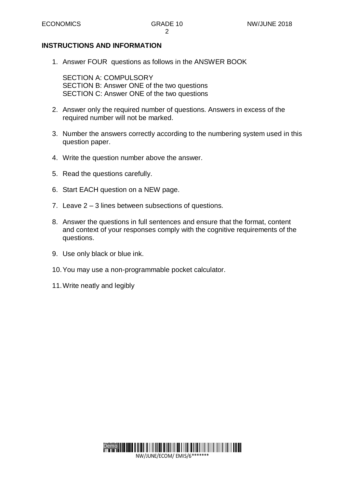#### **INSTRUCTIONS AND INFORMATION**

1. Answer FOUR questions as follows in the ANSWER BOOK

SECTION A: COMPULSORY SECTION B: Answer ONE of the two questions SECTION C: Answer ONE of the two questions

- 2. Answer only the required number of questions. Answers in excess of the required number will not be marked.
- 3. Number the answers correctly according to the numbering system used in this question paper.
- 4. Write the question number above the answer.
- 5. Read the questions carefully.
- 6. Start EACH question on a NEW page.
- 7. Leave 2 3 lines between subsections of questions.
- 8. Answer the questions in full sentences and ensure that the format, content and context of your responses comply with the cognitive requirements of the questions.
- 9. Use only black or blue ink.
- 10.You may use a non-programmable pocket calculator.
- 11.Write neatly and legibly

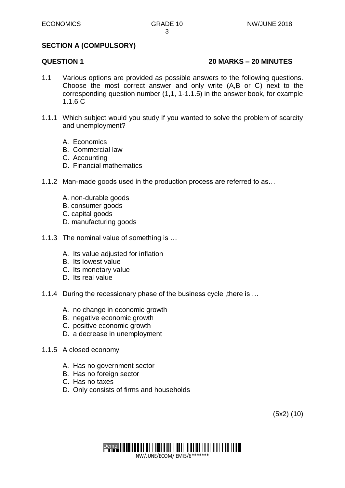#### **SECTION A (COMPULSORY)**

#### **QUESTION 1 20 MARKS – 20 MINUTES**

- 1.1 Various options are provided as possible answers to the following questions. Choose the most correct answer and only write (A,B or C) next to the corresponding question number (1,1, 1-1.1.5) in the answer book, for example 1.1.6 C
- 1.1.1 Which subject would you study if you wanted to solve the problem of scarcity and unemployment?
	- A. Economics
	- B. Commercial law
	- C. Accounting
	- D. Financial mathematics
- 1.1.2 Man-made goods used in the production process are referred to as…
	- A. non-durable goods
	- B. consumer goods
	- C. capital goods
	- D. manufacturing goods
- 1.1.3 The nominal value of something is …
	- A. Its value adjusted for inflation
	- B. Its lowest value
	- C. Its monetary value
	- D. Its real value
- 1.1.4 During the recessionary phase of the business cycle, there is ...
	- A. no change in economic growth
	- B. negative economic growth
	- C. positive economic growth
	- D. a decrease in unemployment
- 1.1.5 A closed economy
	- A. Has no government sector
	- B. Has no foreign sector
	- C. Has no taxes
	- D. Only consists of firms and households

(5x2) (10)

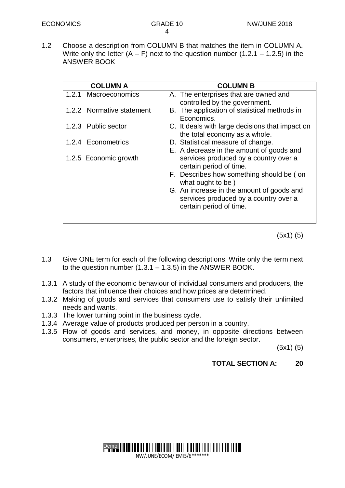1.2 Choose a description from COLUMN B that matches the item in COLUMN A. Write only the letter  $(A - F)$  next to the question number  $(1.2.1 - 1.2.5)$  in the ANSWER BOOK

| <b>COLUMN A</b>           | <b>COLUMN B</b>                                                                                               |
|---------------------------|---------------------------------------------------------------------------------------------------------------|
| 1.2.1 Macroeconomics      | A. The enterprises that are owned and<br>controlled by the government.                                        |
| 1.2.2 Normative statement | B. The application of statistical methods in<br>Economics.                                                    |
| 1.2.3 Public sector       | C. It deals with large decisions that impact on<br>the total economy as a whole.                              |
| 1.2.4 Econometrics        | D. Statistical measure of change.                                                                             |
| 1.2.5 Economic growth     | E. A decrease in the amount of goods and<br>services produced by a country over a<br>certain period of time.  |
|                           | F. Describes how something should be (on<br>what ought to be)                                                 |
|                           | G. An increase in the amount of goods and<br>services produced by a country over a<br>certain period of time. |

(5x1) (5)

- 1.3 Give ONE term for each of the following descriptions. Write only the term next to the question number  $(1.3.1 - 1.3.5)$  in the ANSWER BOOK.
- 1.3.1 A study of the economic behaviour of individual consumers and producers, the factors that influence their choices and how prices are determined.
- 1.3.2 Making of goods and services that consumers use to satisfy their unlimited needs and wants.
- 1.3.3 The lower turning point in the business cycle.
- 1.3.4 Average value of products produced per person in a country.
- 1.3.5 Flow of goods and services, and money, in opposite directions between consumers, enterprises, the public sector and the foreign sector.

(5x1) (5)

**TOTAL SECTION A: 20**

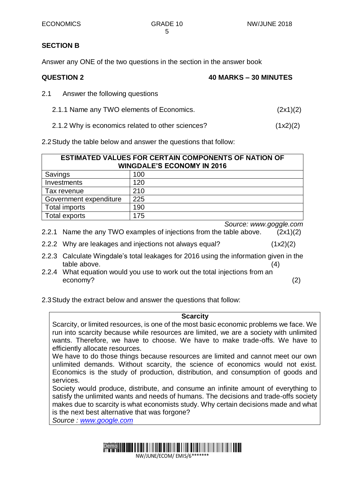#### **SECTION B**

Answer any ONE of the two questions in the section in the answer book

| <b>QUESTION 2</b> | 40 MARKS - 30 MINUTES |
|-------------------|-----------------------|

- 2.1 Answer the following questions
	- 2.1.1 Name any TWO elements of Economics. (2x1)(2)
	- 2.1.2 Why is economics related to other sciences? (1x2)(2)

2.2Study the table below and answer the questions that follow:

| <b>ESTIMATED VALUES FOR CERTAIN COMPONENTS OF NATION OF</b><br><b>WINGDALE'S ECONOMY IN 2016</b> |     |  |
|--------------------------------------------------------------------------------------------------|-----|--|
| Savings                                                                                          | 100 |  |
| Investments                                                                                      | 120 |  |
| Tax revenue                                                                                      | 210 |  |
| Government expenditure                                                                           | 225 |  |
| <b>Total imports</b>                                                                             | 190 |  |
| Total exports                                                                                    | 175 |  |

*Source: www.goggle.com*

- 2.2.1 Name the any TWO examples of injections from the table above. (2x1)(2)
- 2.2.2 Why are leakages and injections not always equal? (1x2)(2)
- 2.2.3 Calculate Wingdale's total leakages for 2016 using the information given in the table above. (4) (4)
- 2.2.4 What equation would you use to work out the total injections from an economy? (2)
- 2.3Study the extract below and answer the questions that follow:

#### **Scarcity**

Scarcity, or limited resources, is one of the most basic economic problems we face. We run into scarcity because while resources are limited, we are a society with unlimited wants. Therefore, we have to choose. We have to make trade-offs. We have to efficiently allocate resources.

We have to do those things because resources are limited and cannot meet our own unlimited demands. Without scarcity, the science of economics would not exist. Economics is the study of production, distribution, and consumption of goods and services.

Society would produce, distribute, and consume an infinite amount of everything to satisfy the unlimited wants and needs of humans. The decisions and trade-offs society makes due to scarcity is what economists study. Why certain decisions made and what is the next best alternative that was forgone?

*Source : [www.google.com](http://www.google.com/)*

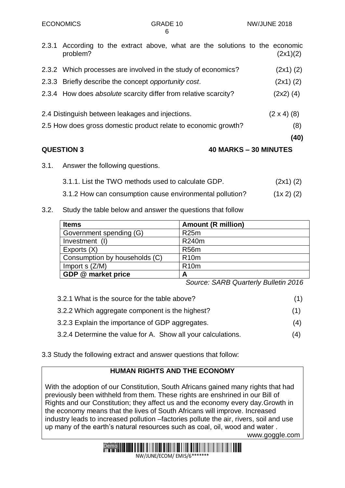| <b>QUESTION 3</b><br>40 MARKS - 30 MINUTES                                               |  |                    |
|------------------------------------------------------------------------------------------|--|--------------------|
|                                                                                          |  | (40)               |
| 2.5 How does gross domestic product relate to economic growth?                           |  | (8)                |
| 2.4 Distinguish between leakages and injections.                                         |  | $(2 \times 4)$ (8) |
| 2.3.4 How does absolute scarcity differ from relative scarcity?                          |  | $(2x2)$ (4)        |
| 2.3.3 Briefly describe the concept opportunity cost.                                     |  | $(2x1)$ $(2)$      |
| 2.3.2 Which processes are involved in the study of economics?                            |  | $(2x1)$ $(2)$      |
| 2.3.1 According to the extract above, what are the solutions to the economic<br>problem? |  | (2x1)(2)           |

- 3.1. Answer the following questions.
	- 3.1.1. List the TWO methods used to calculate GDP. (2x1) (2)

3.1.2 How can consumption cause environmental pollution? (1x 2) (2)

3.2. Study the table below and answer the questions that follow

| <b>Items</b>                  | <b>Amount (R million)</b> |
|-------------------------------|---------------------------|
| Government spending (G)       | R <sub>25</sub> m         |
| Investment (I)                | R240m                     |
| Exports (X)                   | <b>R56m</b>               |
| Consumption by households (C) | <b>R10m</b>               |
| Import $s$ ( $Z/M$ )          | <b>R10m</b>               |
| GDP @ market price            | А                         |

*Source: SARB Quarterly Bulletin 2016*

- 3.2.1 What is the source for the table above? (1) 3.2.2 Which aggregate component is the highest? (1)
- 3.2.3 Explain the importance of GDP aggregates. (4)
- 3.2.4 Determine the value for A. Show all your calculations. (4)
- 3.3 Study the following extract and answer questions that follow:

### **HUMAN RIGHTS AND THE ECONOMY**

With the adoption of our Constitution, South Africans gained many rights that had previously been withheld from them. These rights are enshrined in our Bill of Rights and our Constitution; they affect us and the economy every day.Growth in the economy means that the lives of South Africans will improve. Increased industry leads to increased pollution –factories pollute the air, rivers, soil and use up many of the earth's natural resources such as coal, oil, wood and water . www.goggle.com

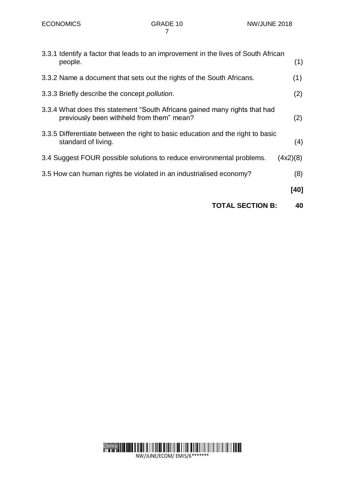| <b>TOTAL SECTION B:</b>                                                                                                 | 40       |
|-------------------------------------------------------------------------------------------------------------------------|----------|
|                                                                                                                         | [40]     |
| 3.5 How can human rights be violated in an industrialised economy?                                                      | (8)      |
| 3.4 Suggest FOUR possible solutions to reduce environmental problems.                                                   | (4x2)(8) |
| 3.3.5 Differentiate between the right to basic education and the right to basic<br>standard of living.                  | (4)      |
| 3.3.4 What does this statement "South Africans gained many rights that had<br>previously been withheld from them" mean? | (2)      |
| 3.3.3 Briefly describe the concept <i>pollution</i> .                                                                   | (2)      |
| 3.3.2 Name a document that sets out the rights of the South Africans.                                                   | (1)      |
| 3.3.1 Identify a factor that leads to an improvement in the lives of South African<br>people.                           | (1)      |
|                                                                                                                         |          |